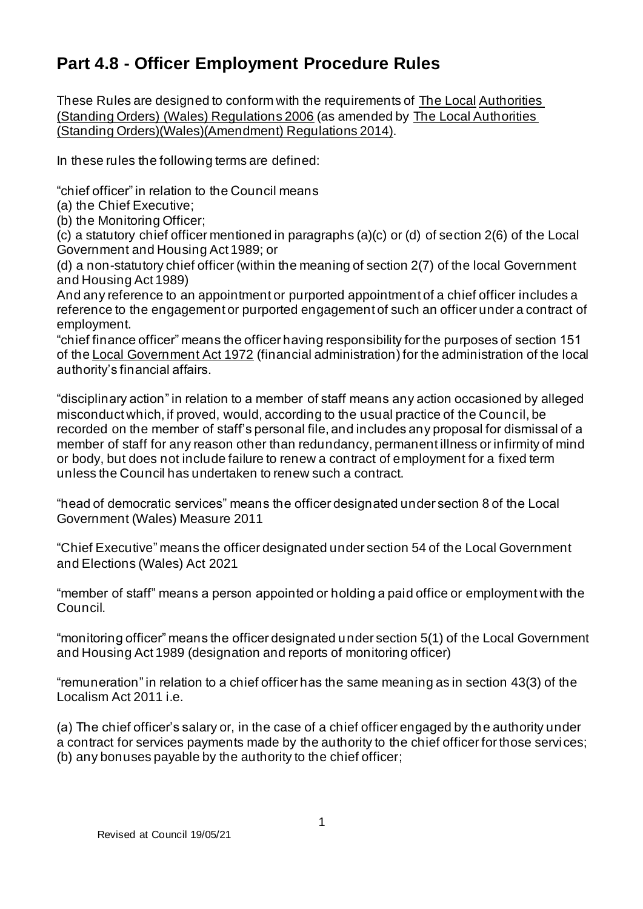# **Part 4.8 - Officer Employment Procedure Rules**

These Rules are designed to conform with the requirements of The Local Authorities (Standing Orders) (Wales) Regulations 2006 (as amended by The Local Authorities (Standing Orders)(Wales)(Amendment) Regulations 2014).

In these rules the following terms are defined:

"chief officer" in relation to the Council means

- (a) the Chief Executive;
- (b) the Monitoring Officer;

(c) a statutory chief officer mentioned in paragraphs (a)(c) or (d) of section 2(6) of the Local Government and Housing Act 1989; or

(d) a non-statutory chief officer (within the meaning of section 2(7) of the local Government and Housing Act 1989)

And any reference to an appointment or purported appointment of a chief officer includes a reference to the engagement or purported engagement of such an officer under a contract of employment.

"chief finance officer" means the officer having responsibility for the purposes of section 151 of the Local Government Act 1972 (financial administration) for the administration of the local authority's financial affairs.

"disciplinary action" in relation to a member of staff means any action occasioned by alleged misconduct which, if proved, would, according to the usual practice of the Council, be recorded on the member of staff's personal file, and includes any proposal for dismissal of a member of staff for any reason other than redundancy, permanent illness or infirmity of mind or body, but does not include failure to renew a contract of employment for a fixed term unless the Council has undertaken to renew such a contract.

"head of democratic services" means the officer designated under section 8 of the Local Government (Wales) Measure 2011

"Chief Executive" means the officer designated under section 54 of the Local Government and Elections (Wales) Act 2021

"member of staff" means a person appointed or holding a paid office or employment with the Council.

"monitoring officer" means the officer designated under section 5(1) of the Local Government and Housing Act 1989 (designation and reports of monitoring officer)

"remuneration" in relation to a chief officer has the same meaning as in section 43(3) of the Localism Act 2011 i.e.

(a) The chief officer's salary or, in the case of a chief officer engaged by the authority under a contract for services payments made by the authority to the chief officer for those services; (b) any bonuses payable by the authority to the chief officer;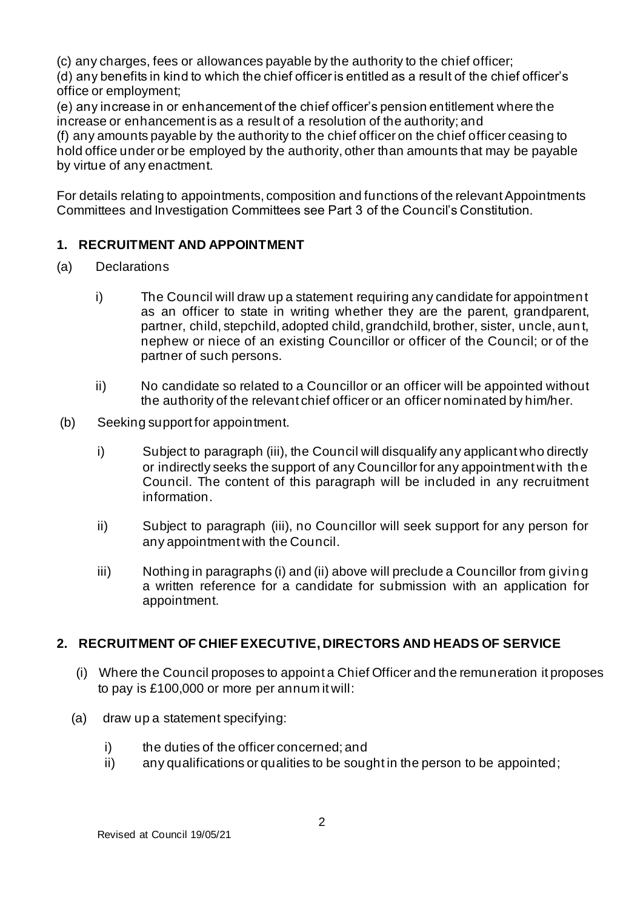(c) any charges, fees or allowances payable by the authority to the chief officer;

(d) any benefits in kind to which the chief officer is entitled as a result of the chief officer's office or employment;

(e) any increase in or enhancement of the chief officer's pension entitlement where the increase or enhancement is as a result of a resolution of the authority; and

(f) any amounts payable by the authority to the chief officer on the chief officer ceasing to hold office under or be employed by the authority, other than amounts that may be payable by virtue of any enactment.

For details relating to appointments, composition and functions of the relevant Appointments Committees and Investigation Committees see Part 3 of the Council's Constitution.

# **1. RECRUITMENT AND APPOINTMENT**

- (a) Declarations
	- i) The Council will draw up a statement requiring any candidate for appointment as an officer to state in writing whether they are the parent, grandparent, partner, child, stepchild, adopted child, grandchild, brother, sister, uncle, aun t, nephew or niece of an existing Councillor or officer of the Council; or of the partner of such persons.
	- ii) No candidate so related to a Councillor or an officer will be appointed without the authority of the relevant chief officer or an officer nominated by him/her.
- (b) Seeking support for appointment.
	- i) Subject to paragraph (iii), the Council will disqualify any applicant who directly or indirectly seeks the support of any Councillor for any appointment with the Council. The content of this paragraph will be included in any recruitment information.
	- ii) Subject to paragraph (iii), no Councillor will seek support for any person for any appointment with the Council.
	- iii) Nothing in paragraphs (i) and (ii) above will preclude a Councillor from giving a written reference for a candidate for submission with an application for appointment.

# **2. RECRUITMENT OF CHIEF EXECUTIVE, DIRECTORS AND HEADS OF SERVICE**

- (i) Where the Council proposes to appoint a Chief Officer and the remuneration it proposes to pay is £100,000 or more per annum it will:
- (a) draw up a statement specifying:
	- i) the duties of the officer concerned; and
	- ii) any qualifications or qualities to be sought in the person to be appointed;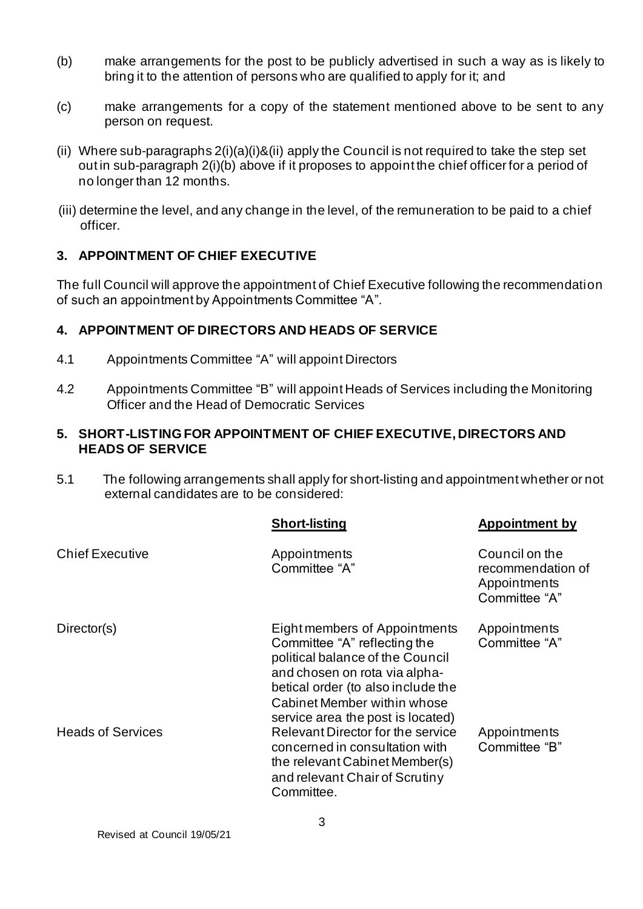- (b) make arrangements for the post to be publicly advertised in such a way as is likely to bring it to the attention of persons who are qualified to apply for it; and
- (c) make arrangements for a copy of the statement mentioned above to be sent to any person on request.
- (ii) Where sub-paragraphs 2(i)(a)(i)&(ii) apply the Council is not required to take the step set out in sub-paragraph 2(i)(b) above if it proposes to appoint the chief officer for a period of no longer than 12 months.
- (iii) determine the level, and any change in the level, of the remuneration to be paid to a chief officer.

## **3. APPOINTMENT OF CHIEF EXECUTIVE**

The full Council will approve the appointment of Chief Executive following the recommendation of such an appointment by Appointments Committee "A".

## **4. APPOINTMENT OF DIRECTORS AND HEADS OF SERVICE**

- 4.1 Appointments Committee "A" will appoint Directors
- 4.2 Appointments Committee "B" will appoint Heads of Services including the Monitoring Officer and the Head of Democratic Services

#### **5. SHORT-LISTING FOR APPOINTMENT OF CHIEF EXECUTIVE, DIRECTORS AND HEADS OF SERVICE**

5.1 The following arrangements shall apply for short-listing and appointment whether or not external candidates are to be considered:

|                          | <b>Short-listing</b>                                                                                                                                                                                                                         | <b>Appointment by</b>                                                |
|--------------------------|----------------------------------------------------------------------------------------------------------------------------------------------------------------------------------------------------------------------------------------------|----------------------------------------------------------------------|
| <b>Chief Executive</b>   | Appointments<br>Committee "A"                                                                                                                                                                                                                | Council on the<br>recommendation of<br>Appointments<br>Committee "A" |
| Director(s)              | Eight members of Appointments<br>Committee "A" reflecting the<br>political balance of the Council<br>and chosen on rota via alpha-<br>betical order (to also include the<br>Cabinet Member within whose<br>service area the post is located) | Appointments<br>Committee "A"                                        |
| <b>Heads of Services</b> | Relevant Director for the service<br>concerned in consultation with<br>the relevant Cabinet Member(s)<br>and relevant Chair of Scrutiny<br>Committee.                                                                                        | Appointments<br>Committee "B"                                        |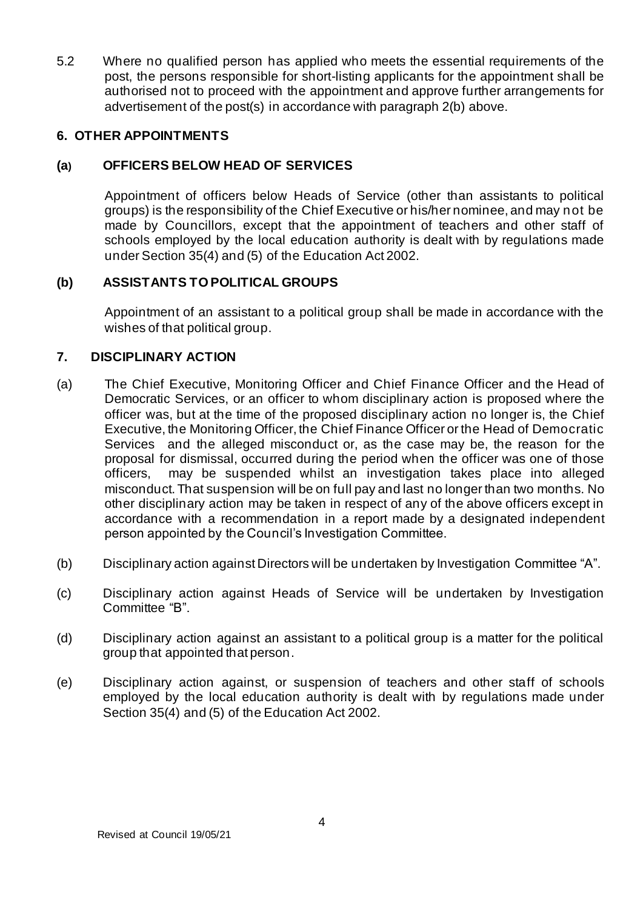5.2 Where no qualified person has applied who meets the essential requirements of the post, the persons responsible for short-listing applicants for the appointment shall be authorised not to proceed with the appointment and approve further arrangements for advertisement of the post(s) in accordance with paragraph 2(b) above.

#### **6. OTHER APPOINTMENTS**

## **(a) OFFICERS BELOW HEAD OF SERVICES**

Appointment of officers below Heads of Service (other than assistants to political groups) is the responsibility of the Chief Executive or his/her nominee, and may not be made by Councillors, except that the appointment of teachers and other staff of schools employed by the local education authority is dealt with by regulations made under Section 35(4) and (5) of the Education Act 2002.

## **(b) ASSISTANTS TO POLITICAL GROUPS**

Appointment of an assistant to a political group shall be made in accordance with the wishes of that political group.

#### **7. DISCIPLINARY ACTION**

- (a) The Chief Executive, Monitoring Officer and Chief Finance Officer and the Head of Democratic Services, or an officer to whom disciplinary action is proposed where the officer was, but at the time of the proposed disciplinary action no longer is, the Chief Executive, the Monitoring Officer, the Chief Finance Officer or the Head of Democratic Services and the alleged misconduct or, as the case may be, the reason for the proposal for dismissal, occurred during the period when the officer was one of those officers, may be suspended whilst an investigation takes place into alleged misconduct. That suspension will be on full pay and last no longer than two months. No other disciplinary action may be taken in respect of any of the above officers except in accordance with a recommendation in a report made by a designated independent person appointed by the Council's Investigation Committee.
- (b) Disciplinary action against Directors will be undertaken by Investigation Committee "A".
- (c) Disciplinary action against Heads of Service will be undertaken by Investigation Committee "B".
- (d) Disciplinary action against an assistant to a political group is a matter for the political group that appointed that person.
- (e) Disciplinary action against, or suspension of teachers and other staff of schools employed by the local education authority is dealt with by regulations made under Section 35(4) and (5) of the Education Act 2002.